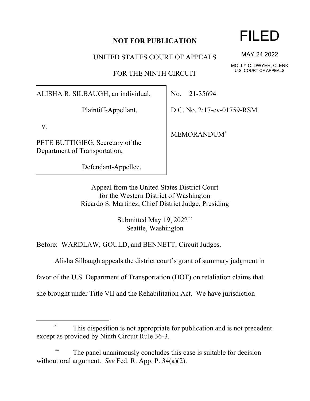## **NOT FOR PUBLICATION**

UNITED STATES COURT OF APPEALS

FOR THE NINTH CIRCUIT

ALISHA R. SILBAUGH, an individual,

Plaintiff-Appellant,

v.

PETE BUTTIGIEG, Secretary of the Department of Transportation,

Defendant-Appellee.

No. 21-35694

D.C. No. 2:17-cv-01759-RSM

MEMORANDUM\*

Appeal from the United States District Court for the Western District of Washington Ricardo S. Martinez, Chief District Judge, Presiding

> Submitted May 19, 2022\*\* Seattle, Washington

Before: WARDLAW, GOULD, and BENNETT, Circuit Judges.

Alisha Silbaugh appeals the district court's grant of summary judgment in

favor of the U.S. Department of Transportation (DOT) on retaliation claims that

she brought under Title VII and the Rehabilitation Act. We have jurisdiction

## This disposition is not appropriate for publication and is not precedent except as provided by Ninth Circuit Rule 36-3.

The panel unanimously concludes this case is suitable for decision without oral argument. *See* Fed. R. App. P. 34(a)(2).

## FILED

MAY 24 2022

MOLLY C. DWYER, CLERK U.S. COURT OF APPEALS